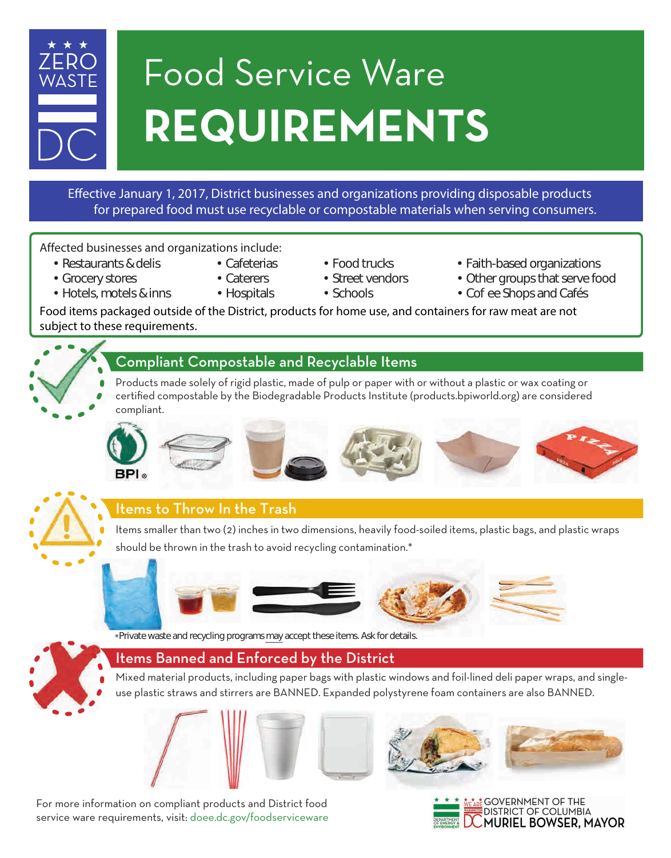

# Food Service Ware **REQUIREMENTS**

#### Effective January 1, 2017, District businesses and organizations providing disposable products for prepared food must use recyclable or compostable materials when serving consumers.

#### Affected businesses and organizations include:

- 
- 
- 
- -
- Restaurants & delis Cafeterias Food trucks Faith-based organizations
- Grocery stores Caterers Street vendors Other groups that serve food
	-
- Hotels, motels & inns Hospitals Schools Cofee Shops and Cafés

Food items packaged outside of the District, products for home use, and containers for raw meat are not subject to these requirements.

### Compliant Compostable and Recyclable Items

Products made solely of rigid plastic, made of pulp or paper with or without a plastic or wax coating or certified compostable by the Biodegradable Products Institute (products.bpiworld.org) are considered compliant.





# Items to Throw In the Trash

Items smaller than two (2) inches in two dimensions, heavily food-soiled items, plastic bags, and plastic wraps should be thrown in the trash to avoid recycling contamination.\*







\*Private waste and recycling programs may accept these items. Ask for details.

# Items Banned and Enforced by the District

Mixed material products, including paper bags with plastic windows and foil-lined deli paper wraps, and singleuse plastic straws and stirrers are BANNED. Expanded polystyrene foam containers are also BANNED.

For more information on compliant products and District food service ware requirements, visit: doee.dc.gov/foodserviceware